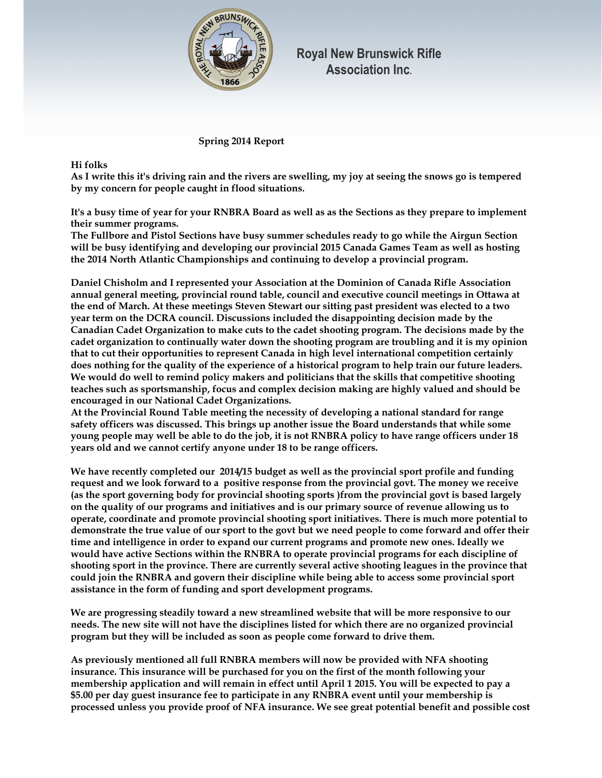

**Royal New Brunswick Rifle Association Inc.**

 **Spring 2014 Report** 

## **Hi folks**

**As I write this it's driving rain and the rivers are swelling, my joy at seeing the snows go is tempered by my concern for people caught in flood situations.** 

**It's a busy time of year for your RNBRA Board as well as as the Sections as they prepare to implement their summer programs.** 

**The Fullbore and Pistol Sections have busy summer schedules ready to go while the Airgun Section will be busy identifying and developing our provincial 2015 Canada Games Team as well as hosting the 2014 North Atlantic Championships and continuing to develop a provincial program.** 

**Daniel Chisholm and I represented your Association at the Dominion of Canada Rifle Association annual general meeting, provincial round table, council and executive council meetings in Ottawa at the end of March. At these meetings Steven Stewart our sitting past president was elected to a two year term on the DCRA council. Discussions included the disappointing decision made by the Canadian Cadet Organization to make cuts to the cadet shooting program. The decisions made by the cadet organization to continually water down the shooting program are troubling and it is my opinion that to cut their opportunities to represent Canada in high level international competition certainly does nothing for the quality of the experience of a historical program to help train our future leaders. We would do well to remind policy makers and politicians that the skills that competitive shooting teaches such as sportsmanship, focus and complex decision making are highly valued and should be encouraged in our National Cadet Organizations.** 

**At the Provincial Round Table meeting the necessity of developing a national standard for range safety officers was discussed. This brings up another issue the Board understands that while some young people may well be able to do the job, it is not RNBRA policy to have range officers under 18 years old and we cannot certify anyone under 18 to be range officers.** 

**We have recently completed our 2014/15 budget as well as the provincial sport profile and funding request and we look forward to a positive response from the provincial govt. The money we receive (as the sport governing body for provincial shooting sports )from the provincial govt is based largely on the quality of our programs and initiatives and is our primary source of revenue allowing us to operate, coordinate and promote provincial shooting sport initiatives. There is much more potential to demonstrate the true value of our sport to the govt but we need people to come forward and offer their time and intelligence in order to expand our current programs and promote new ones. Ideally we would have active Sections within the RNBRA to operate provincial programs for each discipline of shooting sport in the province. There are currently several active shooting leagues in the province that could join the RNBRA and govern their discipline while being able to access some provincial sport assistance in the form of funding and sport development programs.** 

**We are progressing steadily toward a new streamlined website that will be more responsive to our needs. The new site will not have the disciplines listed for which there are no organized provincial program but they will be included as soon as people come forward to drive them.** 

**As previously mentioned all full RNBRA members will now be provided with NFA shooting insurance. This insurance will be purchased for you on the first of the month following your membership application and will remain in effect until April 1 2015. You will be expected to pay a \$5.00 per day guest insurance fee to participate in any RNBRA event until your membership is processed unless you provide proof of NFA insurance. We see great potential benefit and possible cost**